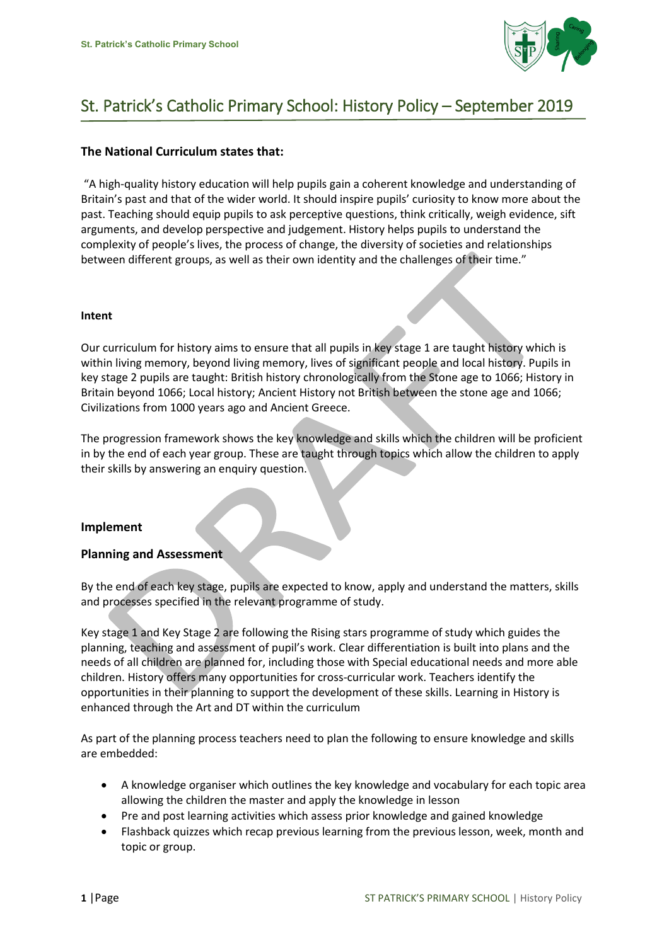

# St. Patrick's Catholic Primary School: History Policy – September 2019

## **The National Curriculum states that:**

"A high-quality history education will help pupils gain a coherent knowledge and understanding of Britain's past and that of the wider world. It should inspire pupils' curiosity to know more about the past. Teaching should equip pupils to ask perceptive questions, think critically, weigh evidence, sift arguments, and develop perspective and judgement. History helps pupils to understand the complexity of people's lives, the process of change, the diversity of societies and relationships between different groups, as well as their own identity and the challenges of their time."

#### **Intent**

Our curriculum for history aims to ensure that all pupils in key stage 1 are taught history which is within living memory, beyond living memory, lives of significant people and local history. Pupils in key stage 2 pupils are taught: British history chronologically from the Stone age to 1066; History in Britain beyond 1066; Local history; Ancient History not British between the stone age and 1066; Civilizations from 1000 years ago and Ancient Greece.

The progression framework shows the key knowledge and skills which the children will be proficient in by the end of each year group. These are taught through topics which allow the children to apply their skills by answering an enquiry question.

#### **Implement**

#### **Planning and Assessment**

By the end of each key stage, pupils are expected to know, apply and understand the matters, skills and processes specified in the relevant programme of study.

Key stage 1 and Key Stage 2 are following the Rising stars programme of study which guides the planning, teaching and assessment of pupil's work. Clear differentiation is built into plans and the needs of all children are planned for, including those with Special educational needs and more able children. History offers many opportunities for cross-curricular work. Teachers identify the opportunities in their planning to support the development of these skills. Learning in History is enhanced through the Art and DT within the curriculum

As part of the planning process teachers need to plan the following to ensure knowledge and skills are embedded:

- A knowledge organiser which outlines the key knowledge and vocabulary for each topic area allowing the children the master and apply the knowledge in lesson
- Pre and post learning activities which assess prior knowledge and gained knowledge
- Flashback quizzes which recap previous learning from the previous lesson, week, month and topic or group.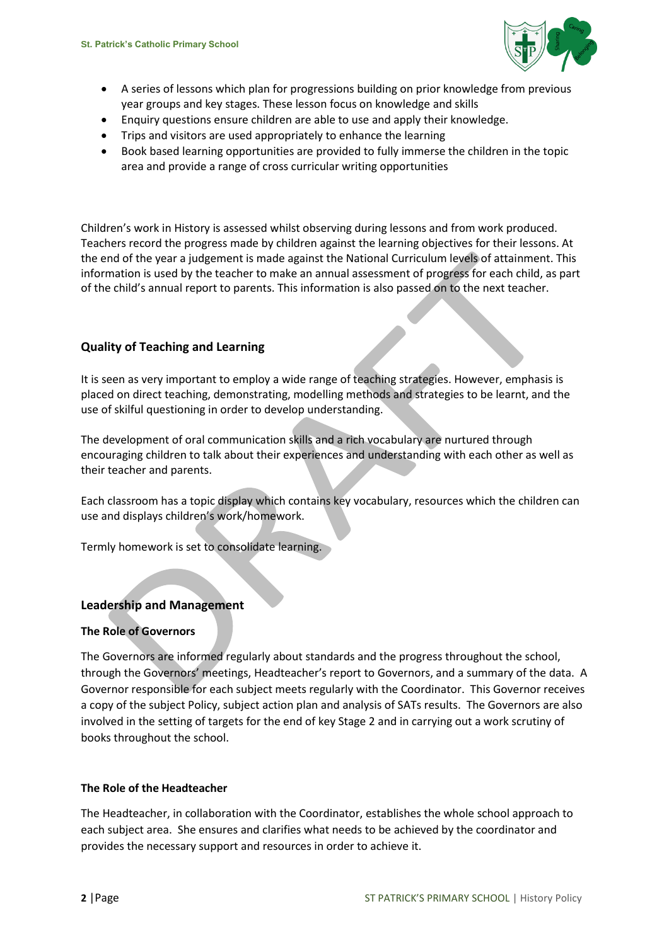

- A series of lessons which plan for progressions building on prior knowledge from previous year groups and key stages. These lesson focus on knowledge and skills
- Enquiry questions ensure children are able to use and apply their knowledge.
- Trips and visitors are used appropriately to enhance the learning
- Book based learning opportunities are provided to fully immerse the children in the topic area and provide a range of cross curricular writing opportunities

Children's work in History is assessed whilst observing during lessons and from work produced. Teachers record the progress made by children against the learning objectives for their lessons. At the end of the year a judgement is made against the National Curriculum levels of attainment. This information is used by the teacher to make an annual assessment of progress for each child, as part of the child's annual report to parents. This information is also passed on to the next teacher.

# **Quality of Teaching and Learning**

It is seen as very important to employ a wide range of teaching strategies. However, emphasis is placed on direct teaching, demonstrating, modelling methods and strategies to be learnt, and the use of skilful questioning in order to develop understanding.

The development of oral communication skills and a rich vocabulary are nurtured through encouraging children to talk about their experiences and understanding with each other as well as their teacher and parents.

Each classroom has a topic display which contains key vocabulary, resources which the children can use and displays children's work/homework.

Termly homework is set to consolidate learning.

## **Leadership and Management**

#### **The Role of Governors**

The Governors are informed regularly about standards and the progress throughout the school, through the Governors' meetings, Headteacher's report to Governors, and a summary of the data. A Governor responsible for each subject meets regularly with the Coordinator. This Governor receives a copy of the subject Policy, subject action plan and analysis of SATs results. The Governors are also involved in the setting of targets for the end of key Stage 2 and in carrying out a work scrutiny of books throughout the school.

#### **The Role of the Headteacher**

The Headteacher, in collaboration with the Coordinator, establishes the whole school approach to each subject area. She ensures and clarifies what needs to be achieved by the coordinator and provides the necessary support and resources in order to achieve it.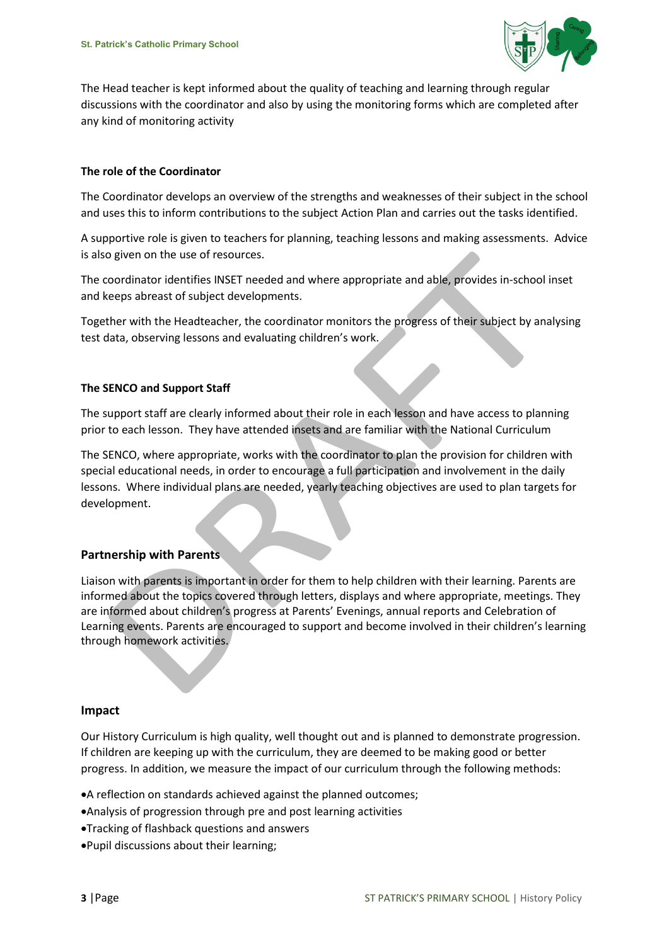

The Head teacher is kept informed about the quality of teaching and learning through regular discussions with the coordinator and also by using the monitoring forms which are completed after any kind of monitoring activity

### **The role of the Coordinator**

The Coordinator develops an overview of the strengths and weaknesses of their subject in the school and uses this to inform contributions to the subject Action Plan and carries out the tasks identified.

A supportive role is given to teachers for planning, teaching lessons and making assessments. Advice is also given on the use of resources.

The coordinator identifies INSET needed and where appropriate and able, provides in-school inset and keeps abreast of subject developments.

Together with the Headteacher, the coordinator monitors the progress of their subject by analysing test data, observing lessons and evaluating children's work.

#### **The SENCO and Support Staff**

The support staff are clearly informed about their role in each lesson and have access to planning prior to each lesson. They have attended insets and are familiar with the National Curriculum

The SENCO, where appropriate, works with the coordinator to plan the provision for children with special educational needs, in order to encourage a full participation and involvement in the daily lessons. Where individual plans are needed, yearly teaching objectives are used to plan targets for development.

## **Partnership with Parents**

Liaison with parents is important in order for them to help children with their learning. Parents are informed about the topics covered through letters, displays and where appropriate, meetings. They are informed about children's progress at Parents' Evenings, annual reports and Celebration of Learning events. Parents are encouraged to support and become involved in their children's learning through homework activities.

#### **Impact**

Our History Curriculum is high quality, well thought out and is planned to demonstrate progression. If children are keeping up with the curriculum, they are deemed to be making good or better progress. In addition, we measure the impact of our curriculum through the following methods:

- A reflection on standards achieved against the planned outcomes;
- Analysis of progression through pre and post learning activities
- Tracking of flashback questions and answers
- Pupil discussions about their learning;